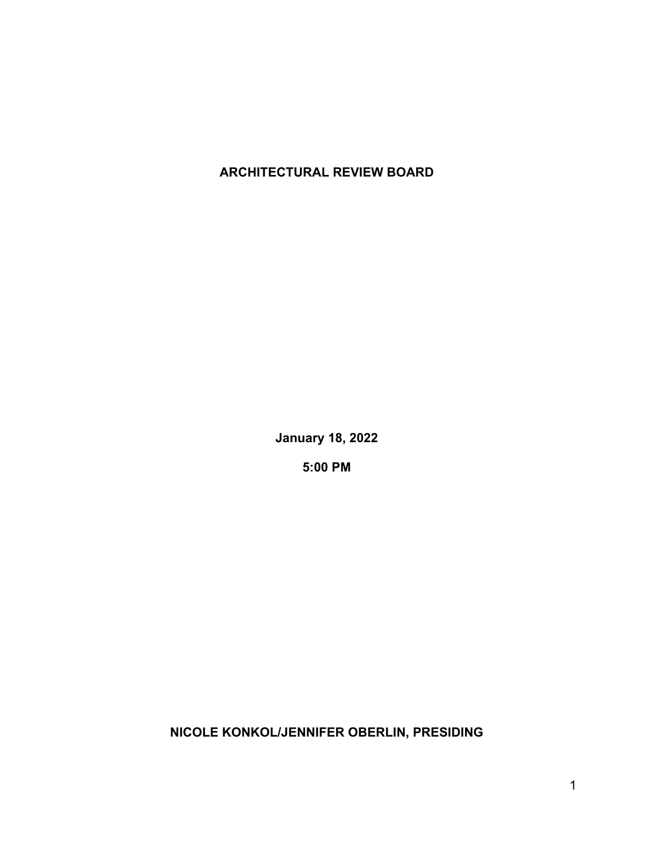**ARCHITECTURAL REVIEW BOARD**

**January 18, 2022**

**5:00 PM**

**NICOLE KONKOL/JENNIFER OBERLIN, PRESIDING**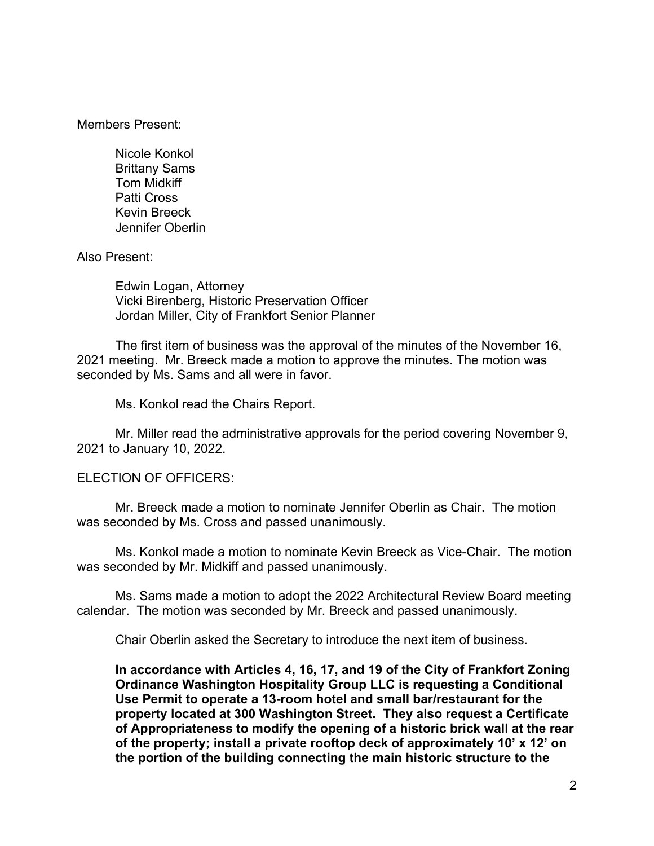Members Present:

Nicole Konkol Brittany Sams Tom Midkiff Patti Cross Kevin Breeck Jennifer Oberlin

Also Present:

Edwin Logan, Attorney Vicki Birenberg, Historic Preservation Officer Jordan Miller, City of Frankfort Senior Planner

The first item of business was the approval of the minutes of the November 16, 2021 meeting. Mr. Breeck made a motion to approve the minutes. The motion was seconded by Ms. Sams and all were in favor.

Ms. Konkol read the Chairs Report.

Mr. Miller read the administrative approvals for the period covering November 9, 2021 to January 10, 2022.

## ELECTION OF OFFICERS:

Mr. Breeck made a motion to nominate Jennifer Oberlin as Chair. The motion was seconded by Ms. Cross and passed unanimously.

Ms. Konkol made a motion to nominate Kevin Breeck as Vice-Chair. The motion was seconded by Mr. Midkiff and passed unanimously.

Ms. Sams made a motion to adopt the 2022 Architectural Review Board meeting calendar. The motion was seconded by Mr. Breeck and passed unanimously.

Chair Oberlin asked the Secretary to introduce the next item of business.

**In accordance with Articles 4, 16, 17, and 19 of the City of Frankfort Zoning Ordinance Washington Hospitality Group LLC is requesting a Conditional Use Permit to operate a 13-room hotel and small bar/restaurant for the property located at 300 Washington Street. They also request a Certificate of Appropriateness to modify the opening of a historic brick wall at the rear of the property; install a private rooftop deck of approximately 10' x 12' on the portion of the building connecting the main historic structure to the**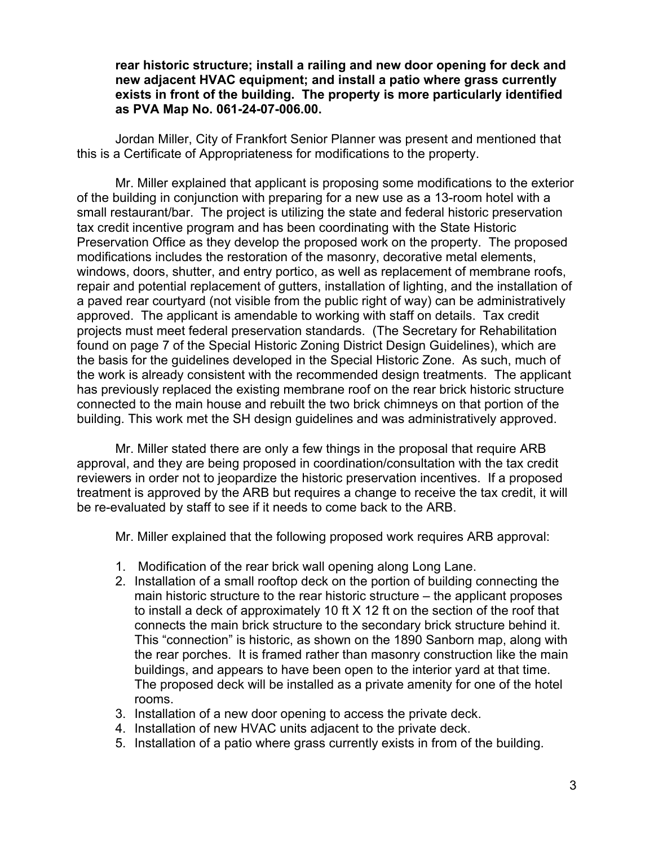**rear historic structure; install a railing and new door opening for deck and new adjacent HVAC equipment; and install a patio where grass currently exists in front of the building. The property is more particularly identified as PVA Map No. 061-24-07-006.00.**

Jordan Miller, City of Frankfort Senior Planner was present and mentioned that this is a Certificate of Appropriateness for modifications to the property.

Mr. Miller explained that applicant is proposing some modifications to the exterior of the building in conjunction with preparing for a new use as a 13-room hotel with a small restaurant/bar. The project is utilizing the state and federal historic preservation tax credit incentive program and has been coordinating with the State Historic Preservation Office as they develop the proposed work on the property. The proposed modifications includes the restoration of the masonry, decorative metal elements, windows, doors, shutter, and entry portico, as well as replacement of membrane roofs, repair and potential replacement of gutters, installation of lighting, and the installation of a paved rear courtyard (not visible from the public right of way) can be administratively approved. The applicant is amendable to working with staff on details. Tax credit projects must meet federal preservation standards. (The Secretary for Rehabilitation found on page 7 of the Special Historic Zoning District Design Guidelines), which are the basis for the guidelines developed in the Special Historic Zone. As such, much of the work is already consistent with the recommended design treatments. The applicant has previously replaced the existing membrane roof on the rear brick historic structure connected to the main house and rebuilt the two brick chimneys on that portion of the building. This work met the SH design guidelines and was administratively approved.

Mr. Miller stated there are only a few things in the proposal that require ARB approval, and they are being proposed in coordination/consultation with the tax credit reviewers in order not to jeopardize the historic preservation incentives. If a proposed treatment is approved by the ARB but requires a change to receive the tax credit, it will be re-evaluated by staff to see if it needs to come back to the ARB.

Mr. Miller explained that the following proposed work requires ARB approval:

- 1. Modification of the rear brick wall opening along Long Lane.
- 2. Installation of a small rooftop deck on the portion of building connecting the main historic structure to the rear historic structure – the applicant proposes to install a deck of approximately 10 ft X 12 ft on the section of the roof that connects the main brick structure to the secondary brick structure behind it. This "connection" is historic, as shown on the 1890 Sanborn map, along with the rear porches. It is framed rather than masonry construction like the main buildings, and appears to have been open to the interior yard at that time. The proposed deck will be installed as a private amenity for one of the hotel rooms.
- 3. Installation of a new door opening to access the private deck.
- 4. Installation of new HVAC units adjacent to the private deck.
- 5. Installation of a patio where grass currently exists in from of the building.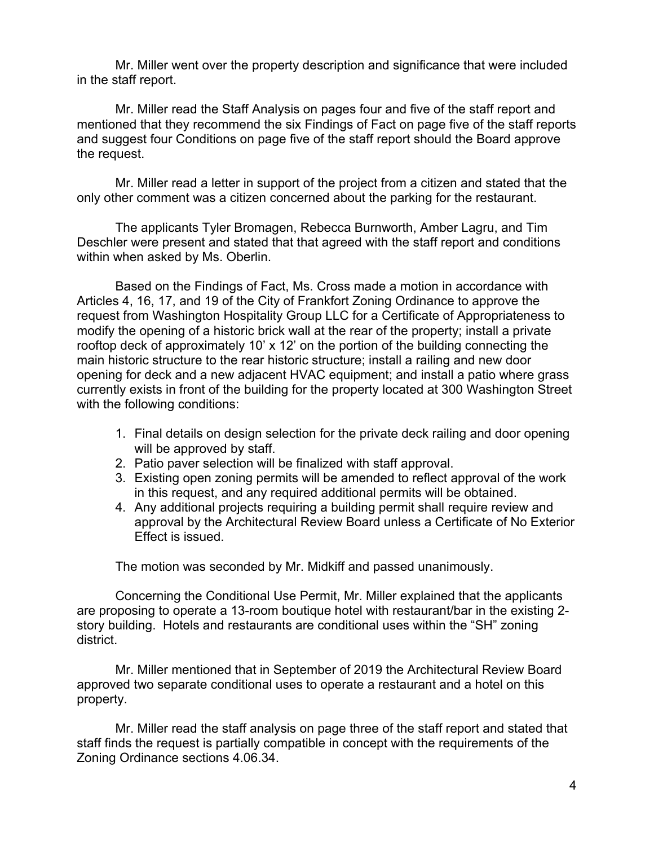Mr. Miller went over the property description and significance that were included in the staff report.

Mr. Miller read the Staff Analysis on pages four and five of the staff report and mentioned that they recommend the six Findings of Fact on page five of the staff reports and suggest four Conditions on page five of the staff report should the Board approve the request.

Mr. Miller read a letter in support of the project from a citizen and stated that the only other comment was a citizen concerned about the parking for the restaurant.

The applicants Tyler Bromagen, Rebecca Burnworth, Amber Lagru, and Tim Deschler were present and stated that that agreed with the staff report and conditions within when asked by Ms. Oberlin.

Based on the Findings of Fact, Ms. Cross made a motion in accordance with Articles 4, 16, 17, and 19 of the City of Frankfort Zoning Ordinance to approve the request from Washington Hospitality Group LLC for a Certificate of Appropriateness to modify the opening of a historic brick wall at the rear of the property; install a private rooftop deck of approximately 10' x 12' on the portion of the building connecting the main historic structure to the rear historic structure; install a railing and new door opening for deck and a new adjacent HVAC equipment; and install a patio where grass currently exists in front of the building for the property located at 300 Washington Street with the following conditions:

- 1. Final details on design selection for the private deck railing and door opening will be approved by staff.
- 2. Patio paver selection will be finalized with staff approval.
- 3. Existing open zoning permits will be amended to reflect approval of the work in this request, and any required additional permits will be obtained.
- 4. Any additional projects requiring a building permit shall require review and approval by the Architectural Review Board unless a Certificate of No Exterior Effect is issued.

The motion was seconded by Mr. Midkiff and passed unanimously.

Concerning the Conditional Use Permit, Mr. Miller explained that the applicants are proposing to operate a 13-room boutique hotel with restaurant/bar in the existing 2 story building. Hotels and restaurants are conditional uses within the "SH" zoning district.

Mr. Miller mentioned that in September of 2019 the Architectural Review Board approved two separate conditional uses to operate a restaurant and a hotel on this property.

Mr. Miller read the staff analysis on page three of the staff report and stated that staff finds the request is partially compatible in concept with the requirements of the Zoning Ordinance sections 4.06.34.